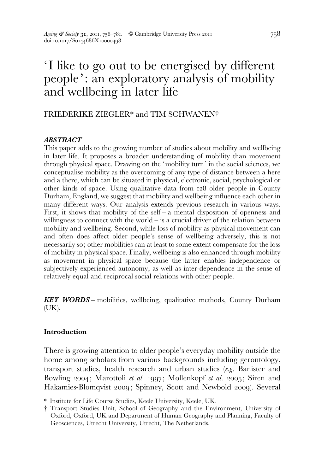# ' I like to go out to be energised by different people': an exploratory analysis of mobility and wellbeing in later life

# FRIEDERIKE ZIEGLER\* and TIM SCHWANEN†

# ABSTRACT

This paper adds to the growing number of studies about mobility and wellbeing in later life. It proposes a broader understanding of mobility than movement through physical space. Drawing on the 'mobility turn' in the social sciences, we conceptualise mobility as the overcoming of any type of distance between a here and a there, which can be situated in physical, electronic, social, psychological or other kinds of space. Using qualitative data from 128 older people in County Durham, England, we suggest that mobility and wellbeing influence each other in many different ways. Our analysis extends previous research in various ways. First, it shows that mobility of the self – a mental disposition of openness and willingness to connect with the world – is a crucial driver of the relation between mobility and wellbeing. Second, while loss of mobility as physical movement can and often does affect older people's sense of wellbeing adversely, this is not necessarily so; other mobilities can at least to some extent compensate for the loss of mobility in physical space. Finally, wellbeing is also enhanced through mobility as movement in physical space because the latter enables independence or subjectively experienced autonomy, as well as inter-dependence in the sense of relatively equal and reciprocal social relations with other people.

**KEY WORDS** – mobilities, wellbeing, qualitative methods, County Durham (UK).

# Introduction

There is growing attention to older people's everyday mobility outside the home among scholars from various backgrounds including gerontology, transport studies, health research and urban studies (e.g. Banister and Bowling 2004; Marottoli et al. 1997; Mollenkopf et al. 2005; Siren and Hakamies-Blomqvist 2009; Spinney, Scott and Newbold 2009). Several

<sup>\*</sup> Institute for Life Course Studies, Keele University, Keele, UK.

<sup>#</sup> Transport Studies Unit, School of Geography and the Environment, University of Oxford, Oxford, UK and Department of Human Geography and Planning, Faculty of Geosciences, Utrecht University, Utrecht, The Netherlands.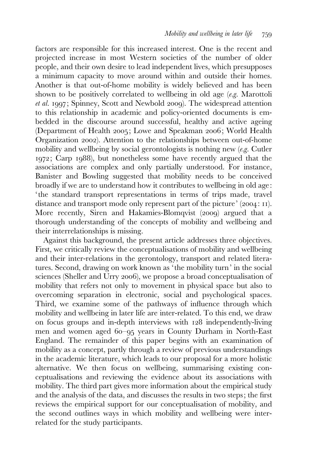factors are responsible for this increased interest. One is the recent and projected increase in most Western societies of the number of older people, and their own desire to lead independent lives, which presupposes a minimum capacity to move around within and outside their homes. Another is that out-of-home mobility is widely believed and has been shown to be positively correlated to wellbeing in old age (e.g. Marottoli et al. 1997; Spinney, Scott and Newbold 2009). The widespread attention to this relationship in academic and policy-oriented documents is embedded in the discourse around successful, healthy and active ageing (Department of Health 2005; Lowe and Speakman 2006; World Health Organization 2002). Attention to the relationships between out-of-home mobility and wellbeing by social gerontologists is nothing new  $(e.g.$  Cutler 1972; Carp 1988), but nonetheless some have recently argued that the associations are complex and only partially understood. For instance, Banister and Bowling suggested that mobility needs to be conceived broadly if we are to understand how it contributes to wellbeing in old age: 'the standard transport representations in terms of trips made, travel distance and transport mode only represent part of the picture' (2004: 11). More recently, Siren and Hakamies-Blomqvist (2009) argued that a thorough understanding of the concepts of mobility and wellbeing and their interrelationships is missing.

Against this background, the present article addresses three objectives. First, we critically review the conceptualisations of mobility and wellbeing and their inter-relations in the gerontology, transport and related literatures. Second, drawing on work known as 'the mobility turn' in the social sciences (Sheller and Urry 2006), we propose a broad conceptualisation of mobility that refers not only to movement in physical space but also to overcoming separation in electronic, social and psychological spaces. Third, we examine some of the pathways of influence through which mobility and wellbeing in later life are inter-related. To this end, we draw on focus groups and in-depth interviews with 128 independently-living men and women aged 60–95 years in County Durham in North-East England. The remainder of this paper begins with an examination of mobility as a concept, partly through a review of previous understandings in the academic literature, which leads to our proposal for a more holistic alternative. We then focus on wellbeing, summarising existing conceptualisations and reviewing the evidence about its associations with mobility. The third part gives more information about the empirical study and the analysis of the data, and discusses the results in two steps; the first reviews the empirical support for our conceptualisation of mobility, and the second outlines ways in which mobility and wellbeing were interrelated for the study participants.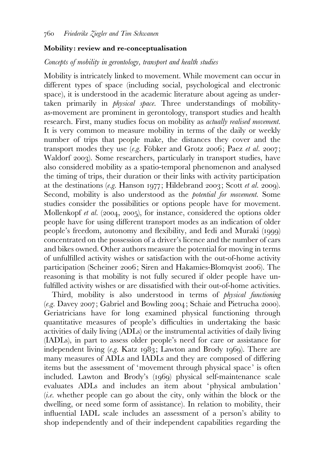# Mobility: review and re-conceptualisation

## Concepts of mobility in gerontology, transport and health studies

Mobility is intricately linked to movement. While movement can occur in different types of space (including social, psychological and electronic space), it is understood in the academic literature about ageing as undertaken primarily in physical space. Three understandings of mobilityas-movement are prominent in gerontology, transport studies and health research. First, many studies focus on mobility as actually realised movement. It is very common to measure mobility in terms of the daily or weekly number of trips that people make, the distances they cover and the transport modes they use  $(e.g.$  Föbker and Grotz 2006; Paez et al. 2007; Waldorf 2003). Some researchers, particularly in transport studies, have also considered mobility as a spatio-temporal phenomenon and analysed the timing of trips, their duration or their links with activity participation at the destinations (e.g. Hanson 1977; Hildebrand 2003; Scott et al. 2009). Second, mobility is also understood as the *potential for movement*. Some studies consider the possibilities or options people have for movement. Mollenkopf et al. (2004, 2005), for instance, considered the options older people have for using different transport modes as an indication of older people's freedom, autonomy and flexibility, and Iedi and Muraki (1999) concentrated on the possession of a driver's licence and the number of cars and bikes owned. Other authors measure the potential for moving in terms of unfulfilled activity wishes or satisfaction with the out-of-home activity participation (Scheiner 2006; Siren and Hakamies-Blomqvist 2006). The reasoning is that mobility is not fully secured if older people have unfulfilled activity wishes or are dissatisfied with their out-of-home activities.

Third, mobility is also understood in terms of *physical functioning* (e.g. Davey 2007; Gabriel and Bowling 2004; Schaie and Pietrucha 2000). Geriatricians have for long examined physical functioning through quantitative measures of people's difficulties in undertaking the basic activities of daily living (ADLs) or the instrumental activities of daily living (IADLs), in part to assess older people's need for care or assistance for independent living (e.g. Katz 1983; Lawton and Brody 1969). There are many measures of ADLs and IADLs and they are composed of differing items but the assessment of 'movement through physical space' is often included. Lawton and Brody's (1969) physical self-maintenance scale evaluates ADLs and includes an item about 'physical ambulation' (i.e. whether people can go about the city, only within the block or the dwelling, or need some form of assistance). In relation to mobility, their influential IADL scale includes an assessment of a person's ability to shop independently and of their independent capabilities regarding the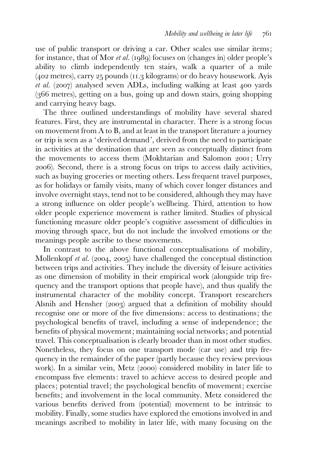use of public transport or driving a car. Other scales use similar items; for instance, that of Mor et al. (1989) focuses on (changes in) older people's ability to climb independently ten stairs, walk a quarter of a mile (402 metres), carry 25 pounds (11.3 kilograms) or do heavy housework. Ayis et al. (2007) analysed seven ADLs, including walking at least 400 yards (366 metres), getting on a bus, going up and down stairs, going shopping and carrying heavy bags.

The three outlined understandings of mobility have several shared features. First, they are instrumental in character. There is a strong focus on movement from A to B, and at least in the transport literature a journey or trip is seen as a 'derived demand', derived from the need to participate in activities at the destination that are seen as conceptually distinct from the movements to access them (Mokhtarian and Salomon 2001; Urry 2006). Second, there is a strong focus on trips to access daily activities, such as buying groceries or meeting others. Less frequent travel purposes, as for holidays or family visits, many of which cover longer distances and involve overnight stays, tend not to be considered, although they may have a strong influence on older people's wellbeing. Third, attention to how older people experience movement is rather limited. Studies of physical functioning measure older people's cognitive assessment of difficulties in moving through space, but do not include the involved emotions or the meanings people ascribe to these movements.

In contrast to the above functional conceptualisations of mobility, Mollenkopf et al. (2004, 2005) have challenged the conceptual distinction between trips and activities. They include the diversity of leisure activities as one dimension of mobility in their empirical work (alongside trip frequency and the transport options that people have), and thus qualify the instrumental character of the mobility concept. Transport researchers Alsnih and Hensher (2003) argued that a definition of mobility should recognise one or more of the five dimensions: access to destinations; the psychological benefits of travel, including a sense of independence; the benefits of physical movement; maintaining social networks; and potential travel. This conceptualisation is clearly broader than in most other studies. Nonetheless, they focus on one transport mode (car use) and trip frequency in the remainder of the paper (partly because they review previous work). In a similar vein, Metz (2000) considered mobility in later life to encompass five elements: travel to achieve access to desired people and places; potential travel; the psychological benefits of movement; exercise benefits; and involvement in the local community. Metz considered the various benefits derived from (potential) movement to be intrinsic to mobility. Finally, some studies have explored the emotions involved in and meanings ascribed to mobility in later life, with many focusing on the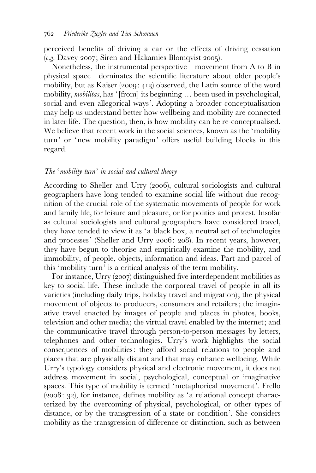perceived benefits of driving a car or the effects of driving cessation (e.g. Davey 2007; Siren and Hakamies-Blomqvist 2005).

Nonetheless, the instrumental perspective – movement from A to B in physical space – dominates the scientific literature about older people's mobility, but as Kaiser (2009: 413) observed, the Latin source of the word mobility, *mobilitas*, has ' [from] its beginning ... been used in psychological, social and even allegorical ways'. Adopting a broader conceptualisation may help us understand better how wellbeing and mobility are connected in later life. The question, then, is how mobility can be re-conceptualised. We believe that recent work in the social sciences, known as the 'mobility turn' or 'new mobility paradigm' offers useful building blocks in this regard.

## The 'mobility turn' in social and cultural theory

According to Sheller and Urry (2006), cultural sociologists and cultural geographers have long tended to examine social life without due recognition of the crucial role of the systematic movements of people for work and family life, for leisure and pleasure, or for politics and protest. Insofar as cultural sociologists and cultural geographers have considered travel, they have tended to view it as 'a black box, a neutral set of technologies and processes' (Sheller and Urry 2006: 208). In recent years, however, they have begun to theorise and empirically examine the mobility, and immobility, of people, objects, information and ideas. Part and parcel of this 'mobility turn' is a critical analysis of the term mobility.

For instance, Urry (2007) distinguished five interdependent mobilities as key to social life. These include the corporeal travel of people in all its varieties (including daily trips, holiday travel and migration); the physical movement of objects to producers, consumers and retailers; the imaginative travel enacted by images of people and places in photos, books, television and other media; the virtual travel enabled by the internet; and the communicative travel through person-to-person messages by letters, telephones and other technologies. Urry's work highlights the social consequences of mobilities: they afford social relations to people and places that are physically distant and that may enhance wellbeing. While Urry's typology considers physical and electronic movement, it does not address movement in social, psychological, conceptual or imaginative spaces. This type of mobility is termed 'metaphorical movement'. Frello (2008: 32), for instance, defines mobility as 'a relational concept characterized by the overcoming of physical, psychological, or other types of distance, or by the transgression of a state or condition'. She considers mobility as the transgression of difference or distinction, such as between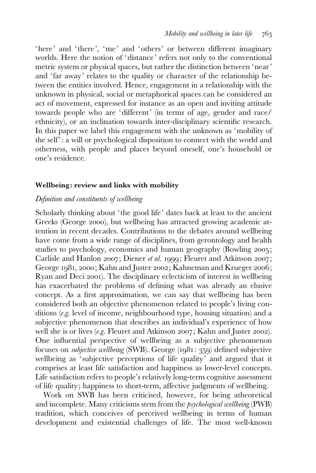'here' and 'there', 'me' and ' others' or between different imaginary worlds. Here the notion of 'distance' refers not only to the conventional metric system or physical spaces, but rather the distinction between 'near' and 'far away' relates to the quality or character of the relationship between the entities involved. Hence, engagement in a relationship with the unknown in physical, social or metaphorical spaces can be considered an act of movement, expressed for instance as an open and inviting attitude towards people who are 'different' (in terms of age, gender and race/ ethnicity), or an inclination towards inter-disciplinary scientific research. In this paper we label this engagement with the unknown as 'mobility of the self': a will or psychological disposition to connect with the world and otherness, with people and places beyond oneself, one's household or one's residence.

## Wellbeing: review and links with mobility

# Definition and constituents of wellbeing

Scholarly thinking about 'the good life' dates back at least to the ancient Greeks (George 2000), but wellbeing has attracted growing academic attention in recent decades. Contributions to the debates around wellbeing have come from a wide range of disciplines, from gerontology and health studies to psychology, economics and human geography (Bowling 2005; Carlisle and Hanlon 2007; Diener et al. 1999; Fleuret and Atkinson 2007; George 1981, 2000; Kahn and Juster 2002; Kahneman and Krueger 2006; Ryan and Deci 2001). The disciplinary eclecticism of interest in wellbeing has exacerbated the problems of defining what was already an elusive concept. As a first approximation, we can say that wellbeing has been considered both an objective phenomenon related to people's living conditions (e.g. level of income, neighbourhood type, housing situation) and a subjective phenomenon that describes an individual's experience of how well she is or lives (e.g. Fleuret and Atkinson 2007; Kahn and Juster 2002). One influential perspective of wellbeing as a subjective phenomenon focuses on subjective wellbeing (SWB). George (1981: 359) defined subjective wellbeing as 'subjective perceptions of life quality' and argued that it comprises at least life satisfaction and happiness as lower-level concepts. Life satisfaction refers to people's relatively long-term cognitive assessment of life quality; happiness to short-term, affective judgments of wellbeing.

Work on SWB has been criticised, however, for being atheoretical and incomplete. Many criticisms stem from the psychological wellbeing (PWB) tradition, which conceives of perceived wellbeing in terms of human development and existential challenges of life. The most well-known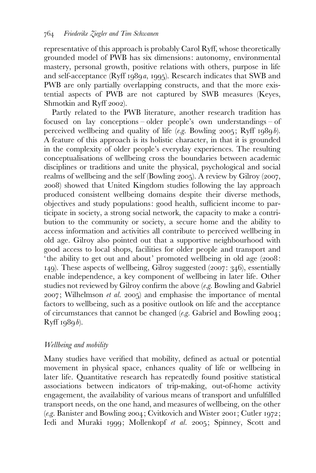representative of this approach is probably Carol Ryff, whose theoretically grounded model of PWB has six dimensions: autonomy, environmental mastery, personal growth, positive relations with others, purpose in life and self-acceptance (Ryff 1989a, 1995). Research indicates that SWB and PWB are only partially overlapping constructs, and that the more existential aspects of PWB are not captured by SWB measures (Keyes, Shmotkin and Ryff 2002).

Partly related to the PWB literature, another research tradition has focused on lay conceptions – older people's own understandings – of perceived wellbeing and quality of life (e.g. Bowling 2005; Ryff  $1989b$ ). A feature of this approach is its holistic character, in that it is grounded in the complexity of older people's everyday experiences. The resulting conceptualisations of wellbeing cross the boundaries between academic disciplines or traditions and unite the physical, psychological and social realms of wellbeing and the self (Bowling 2005). A review by Gilroy (2007, 2008) showed that United Kingdom studies following the lay approach produced consistent wellbeing domains despite their diverse methods, objectives and study populations: good health, sufficient income to participate in society, a strong social network, the capacity to make a contribution to the community or society, a secure home and the ability to access information and activities all contribute to perceived wellbeing in old age. Gilroy also pointed out that a supportive neighbourhood with good access to local shops, facilities for older people and transport and 'the ability to get out and about' promoted wellbeing in old age (2008: 149). These aspects of wellbeing, Gilroy suggested (2007: 346), essentially enable independence, a key component of wellbeing in later life. Other studies not reviewed by Gilroy confirm the above (e.g. Bowling and Gabriel 2007; Wilhelmson et al. 2005) and emphasise the importance of mental factors to wellbeing, such as a positive outlook on life and the acceptance of circumstances that cannot be changed (e.g. Gabriel and Bowling 2004; Ryff  $1989b$ .

# Wellbeing and mobility

Many studies have verified that mobility, defined as actual or potential movement in physical space, enhances quality of life or wellbeing in later life. Quantitative research has repeatedly found positive statistical associations between indicators of trip-making, out-of-home activity engagement, the availability of various means of transport and unfulfilled transport needs, on the one hand, and measures of wellbeing, on the other (e.g. Banister and Bowling 2004; Cvitkovich and Wister 2001; Cutler 1972; Iedi and Muraki 1999; Mollenkopf et al. 2005; Spinney, Scott and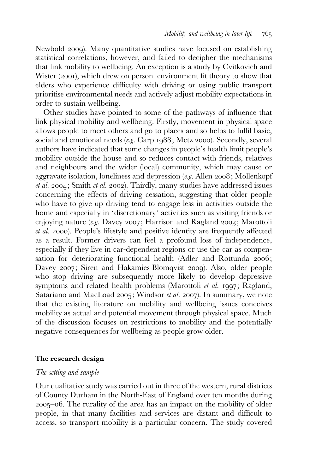Newbold 2009). Many quantitative studies have focused on establishing statistical correlations, however, and failed to decipher the mechanisms that link mobility to wellbeing. An exception is a study by Cvitkovich and Wister (2001), which drew on person–environment fit theory to show that elders who experience difficulty with driving or using public transport prioritise environmental needs and actively adjust mobility expectations in order to sustain wellbeing.

Other studies have pointed to some of the pathways of influence that link physical mobility and wellbeing. Firstly, movement in physical space allows people to meet others and go to places and so helps to fulfil basic, social and emotional needs (e.g. Carp 1988; Metz 2000). Secondly, several authors have indicated that some changes in people's health limit people's mobility outside the house and so reduces contact with friends, relatives and neighbours and the wider (local) community, which may cause or aggravate isolation, loneliness and depression (e.g. Allen 2008; Mollenkopf et al. 2004; Smith et al. 2002). Thirdly, many studies have addressed issues concerning the effects of driving cessation, suggesting that older people who have to give up driving tend to engage less in activities outside the home and especially in 'discretionary' activities such as visiting friends or enjoying nature (e.g. Davey 2007; Harrison and Ragland 2003; Marottoli et al. 2000). People's lifestyle and positive identity are frequently affected as a result. Former drivers can feel a profound loss of independence, especially if they live in car-dependent regions or use the car as compensation for deteriorating functional health (Adler and Rottunda 2006; Davey 2007; Siren and Hakamies-Blomqvist 2009). Also, older people who stop driving are subsequently more likely to develop depressive symptoms and related health problems (Marottoli et al. 1997; Ragland, Satariano and MacLoad 2005; Windsor et al. 2007). In summary, we note that the existing literature on mobility and wellbeing issues conceives mobility as actual and potential movement through physical space. Much of the discussion focuses on restrictions to mobility and the potentially negative consequences for wellbeing as people grow older.

#### The research design

# The setting and sample

Our qualitative study was carried out in three of the western, rural districts of County Durham in the North-East of England over ten months during 2005–06. The rurality of the area has an impact on the mobility of older people, in that many facilities and services are distant and difficult to access, so transport mobility is a particular concern. The study covered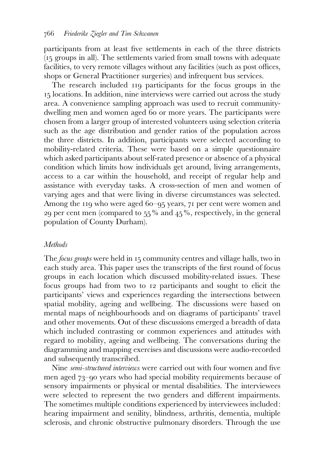participants from at least five settlements in each of the three districts (15 groups in all). The settlements varied from small towns with adequate facilities, to very remote villages without any facilities (such as post offices, shops or General Practitioner surgeries) and infrequent bus services.

The research included 119 participants for the focus groups in the 15 locations. In addition, nine interviews were carried out across the study area. A convenience sampling approach was used to recruit communitydwelling men and women aged 60 or more years. The participants were chosen from a larger group of interested volunteers using selection criteria such as the age distribution and gender ratios of the population across the three districts. In addition, participants were selected according to mobility-related criteria. These were based on a simple questionnaire which asked participants about self-rated presence or absence of a physical condition which limits how individuals get around, living arrangements, access to a car within the household, and receipt of regular help and assistance with everyday tasks. A cross-section of men and women of varying ages and that were living in diverse circumstances was selected. Among the 119 who were aged 60–95 years, 71 per cent were women and 29 per cent men (compared to  $55\%$  and  $45\%$ , respectively, in the general population of County Durham).

# **Methods**

The focus groups were held in 15 community centres and village halls, two in each study area. This paper uses the transcripts of the first round of focus groups in each location which discussed mobility-related issues. These focus groups had from two to 12 participants and sought to elicit the participants' views and experiences regarding the intersections between spatial mobility, ageing and wellbeing. The discussions were based on mental maps of neighbourhoods and on diagrams of participants' travel and other movements. Out of these discussions emerged a breadth of data which included contrasting or common experiences and attitudes with regard to mobility, ageing and wellbeing. The conversations during the diagramming and mapping exercises and discussions were audio-recorded and subsequently transcribed.

Nine semi-structured interviews were carried out with four women and five men aged 73–90 years who had special mobility requirements because of sensory impairments or physical or mental disabilities. The interviewees were selected to represent the two genders and different impairments. The sometimes multiple conditions experienced by interviewees included: hearing impairment and senility, blindness, arthritis, dementia, multiple sclerosis, and chronic obstructive pulmonary disorders. Through the use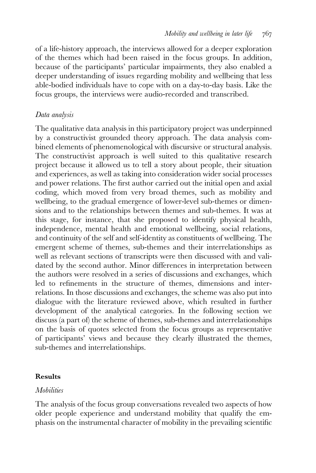of a life-history approach, the interviews allowed for a deeper exploration of the themes which had been raised in the focus groups. In addition, because of the participants' particular impairments, they also enabled a deeper understanding of issues regarding mobility and wellbeing that less able-bodied individuals have to cope with on a day-to-day basis. Like the focus groups, the interviews were audio-recorded and transcribed.

# Data analysis

The qualitative data analysis in this participatory project was underpinned by a constructivist grounded theory approach. The data analysis combined elements of phenomenological with discursive or structural analysis. The constructivist approach is well suited to this qualitative research project because it allowed us to tell a story about people, their situation and experiences, as well as taking into consideration wider social processes and power relations. The first author carried out the initial open and axial coding, which moved from very broad themes, such as mobility and wellbeing, to the gradual emergence of lower-level sub-themes or dimensions and to the relationships between themes and sub-themes. It was at this stage, for instance, that she proposed to identify physical health, independence, mental health and emotional wellbeing, social relations, and continuity of the self and self-identity as constituents of wellbeing. The emergent scheme of themes, sub-themes and their interrelationships as well as relevant sections of transcripts were then discussed with and validated by the second author. Minor differences in interpretation between the authors were resolved in a series of discussions and exchanges, which led to refinements in the structure of themes, dimensions and interrelations. In those discussions and exchanges, the scheme was also put into dialogue with the literature reviewed above, which resulted in further development of the analytical categories. In the following section we discuss (a part of) the scheme of themes, sub-themes and interrelationships on the basis of quotes selected from the focus groups as representative of participants' views and because they clearly illustrated the themes, sub-themes and interrelationships.

# Results

# **Mobilities**

The analysis of the focus group conversations revealed two aspects of how older people experience and understand mobility that qualify the emphasis on the instrumental character of mobility in the prevailing scientific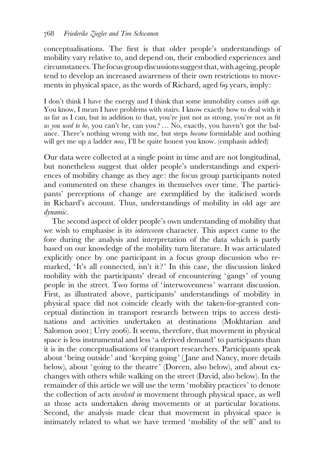conceptualisations. The first is that older people's understandings of mobility vary relative to, and depend on, their embodied experiences and circumstances.The focus group discussions suggestthat, with ageing, people tend to develop an increased awareness of their own restrictions to movements in physical space, as the words of Richard, aged 69 years, imply:

I don't think I have the energy and I think that some immobility comes with age. You know, I mean I have problems with stairs. I know exactly how to deal with it as far as I can, but in addition to that, you're just not as strong, you're not as fit as you used to be, you can't be, can you? ... No, exactly, you haven't got the balance. There's nothing wrong with me, but steps become formidable and nothing will get me up a ladder *now*, I'll be quite honest you know. (emphasis added)

Our data were collected at a single point in time and are not longitudinal, but nonetheless suggest that older people's understandings and experiences of mobility change as they age: the focus group participants noted and commented on these changes in themselves over time. The participants' perceptions of change are exemplified by the italicised words in Richard's account. Thus, understandings of mobility in old age are dynamic.

The second aspect of older people's own understanding of mobility that we wish to emphasise is its interwoven character. This aspect came to the fore during the analysis and interpretation of the data which is partly based on our knowledge of the mobility turn literature. It was articulated explicitly once by one participant in a focus group discussion who remarked, 'It's all connected, isn't it?' In this case, the discussion linked mobility with the participants' dread of encountering 'gangs' of young people in the street. Two forms of 'interwovenness' warrant discussion. First, as illustrated above, participants' understandings of mobility in physical space did not coincide clearly with the taken-for-granted conceptual distinction in transport research between trips to access destinations and activities undertaken at destinations (Mokhtarian and Salomon 2001; Urry 2006). It seems, therefore, that movement in physical space is less instrumental and less 'a derived demand' to participants than it is in the conceptualisations of transport researchers. Participants speak about 'being outside' and 'keeping going' ( Jane and Nancy, more details below), about 'going to the theatre' (Doreen, also below), and about exchanges with others while walking on the street (David, also below). In the remainder of this article we will use the term 'mobility practices' to denote the collection of acts involved in movement through physical space, as well as those acts undertaken during movements or at particular locations. Second, the analysis made clear that movement in physical space is intimately related to what we have termed 'mobility of the self' and to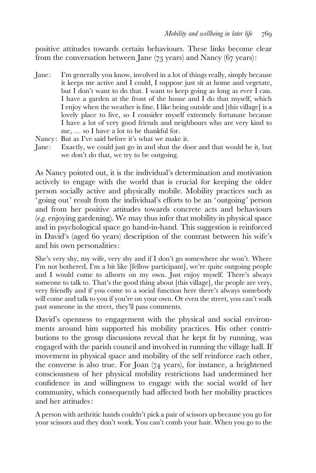positive attitudes towards certain behaviours. These links become clear from the conversation between Jane (73 years) and Nancy (67 years):

- Jane: I'm generally you know, involved in a lot of things really, simply because it keeps me active and I could, I suppose just sit at home and vegetate, but I don't want to do that. I want to keep going as long as ever I can. I have a garden at the front of the house and I do that myself, which I enjoy when the weather is fine. I like being outside and [this village] is a lovely place to live, so I consider myself extremely fortunate because I have a lot of very good friends and neighbours who are very kind to me, … so I have a lot to be thankful for.
- Nancy: But as I've said before it's what we make it.
- Jane: Exactly, we could just go in and shut the door and that would be it, but we don't do that, we try to be outgoing.

As Nancy pointed out, it is the individual's determination and motivation actively to engage with the world that is crucial for keeping the older person socially active and physically mobile. Mobility practices such as 'going out' result from the individual's efforts to be an 'outgoing' person and from her positive attitudes towards concrete acts and behaviours (e.g. enjoying gardening). We may thus infer that mobility in physical space and in psychological space go hand-in-hand. This suggestion is reinforced in David's (aged 60 years) description of the contrast between his wife's and his own personalities:

She's very shy, my wife, very shy and if I don't go somewhere she won't. Where I'm not bothered, I'm a bit like [fellow participant], we're quite outgoing people and I would come to allsorts on my own. Just enjoy myself. There's always someone to talk to. That's the good thing about [this village], the people are very, very friendly and if you come to a social function here there's always somebody will come and talk to you if you're on your own. Or even the street, you can't walk past someone in the street, they'll pass comments.

David's openness to engagement with the physical and social environments around him supported his mobility practices. His other contributions to the group discussions reveal that he kept fit by running, was engaged with the parish council and involved in running the village hall. If movement in physical space and mobility of the self reinforce each other, the converse is also true. For Joan (74 years), for instance, a heightened consciousness of her physical mobility restrictions had undermined her confidence in and willingness to engage with the social world of her community, which consequently had affected both her mobility practices and her attitudes:

A person with arthritic hands couldn't pick a pair of scissors up because you go for your scissors and they don't work. You can't comb your hair. When you go to the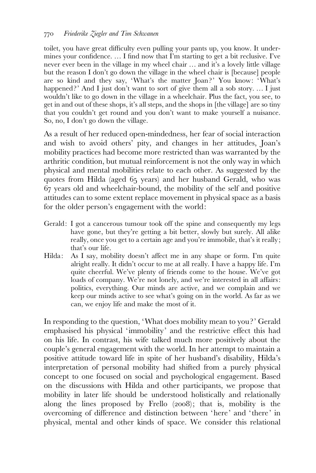toilet, you have great difficulty even pulling your pants up, you know. It undermines your confidence. … I find now that I'm starting to get a bit reclusive. I've never ever been in the village in my wheel chair … and it's a lovely little village but the reason I don't go down the village in the wheel chair is [because] people are so kind and they say, 'What's the matter Joan ?' You know: 'What's happened?' And I just don't want to sort of give them all a sob story.... I just wouldn't like to go down in the village in a wheelchair. Plus the fact, you see, to get in and out of these shops, it's all steps, and the shops in [the village] are so tiny that you couldn't get round and you don't want to make yourself a nuisance. So, no, I don't go down the village.

As a result of her reduced open-mindedness, her fear of social interaction and wish to avoid others' pity, and changes in her attitudes, Joan's mobility practices had become more restricted than was warranted by the arthritic condition, but mutual reinforcement is not the only way in which physical and mental mobilities relate to each other. As suggested by the quotes from Hilda (aged 65 years) and her husband Gerald, who was  $67$  years old and wheelchair-bound, the mobility of the self and positive attitudes can to some extent replace movement in physical space as a basis for the older person's engagement with the world:

- Gerald: I got a cancerous tumour took off the spine and consequently my legs have gone, but they're getting a bit better, slowly but surely. All alike really, once you get to a certain age and you're immobile, that's it really; that's our life.
- Hilda: As I say, mobility doesn't affect me in any shape or form. I'm quite alright really. It didn't occur to me at all really. I have a happy life. I'm quite cheerful. We've plenty of friends come to the house. We've got loads of company. We're not lonely, and we're interested in all affairs: politics, everything. Our minds are active, and we complain and we keep our minds active to see what's going on in the world. As far as we can, we enjoy life and make the most of it.

In responding to the question, 'What does mobility mean to you ?' Gerald emphasised his physical 'immobility' and the restrictive effect this had on his life. In contrast, his wife talked much more positively about the couple's general engagement with the world. In her attempt to maintain a positive attitude toward life in spite of her husband's disability, Hilda's interpretation of personal mobility had shifted from a purely physical concept to one focused on social and psychological engagement. Based on the discussions with Hilda and other participants, we propose that mobility in later life should be understood holistically and relationally along the lines proposed by Frello (2008); that is, mobility is the overcoming of difference and distinction between 'here' and 'there' in physical, mental and other kinds of space. We consider this relational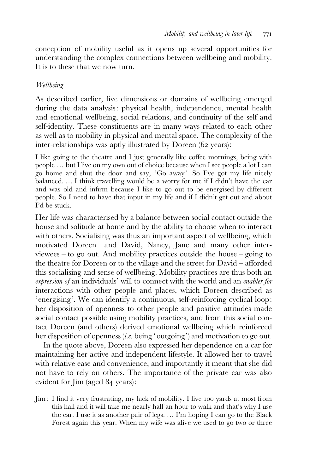conception of mobility useful as it opens up several opportunities for understanding the complex connections between wellbeing and mobility. It is to these that we now turn.

# Wellbeing

As described earlier, five dimensions or domains of wellbeing emerged during the data analysis: physical health, independence, mental health and emotional wellbeing, social relations, and continuity of the self and self-identity. These constituents are in many ways related to each other as well as to mobility in physical and mental space. The complexity of the inter-relationships was aptly illustrated by Doreen (62 years):

I like going to the theatre and I just generally like coffee mornings, being with people … but I live on my own out of choice because when I see people a lot I can go home and shut the door and say, 'Go away'. So I've got my life nicely balanced. … I think travelling would be a worry for me if I didn't have the car and was old and infirm because I like to go out to be energised by different people. So I need to have that input in my life and if I didn't get out and about I'd be stuck.

Her life was characterised by a balance between social contact outside the house and solitude at home and by the ability to choose when to interact with others. Socialising was thus an important aspect of wellbeing, which motivated Doreen – and David, Nancy, Jane and many other interviewees – to go out. And mobility practices outside the house – going to the theatre for Doreen or to the village and the street for David – afforded this socialising and sense of wellbeing. Mobility practices are thus both an expression of an individuals' will to connect with the world and an enabler for interactions with other people and places, which Doreen described as 'energising'. We can identify a continuous, self-reinforcing cyclical loop: her disposition of openness to other people and positive attitudes made social contact possible using mobility practices, and from this social contact Doreen (and others) derived emotional wellbeing which reinforced her disposition of openness (*i.e.* being 'outgoing') and motivation to go out.

In the quote above, Doreen also expressed her dependence on a car for maintaining her active and independent lifestyle. It allowed her to travel with relative ease and convenience, and importantly it meant that she did not have to rely on others. The importance of the private car was also evident for Jim (aged 84 years):

Jim: I find it very frustrating, my lack of mobility. I live 100 yards at most from this hall and it will take me nearly half an hour to walk and that's why I use the car. I use it as another pair of legs. … I'm hoping I can go to the Black Forest again this year. When my wife was alive we used to go two or three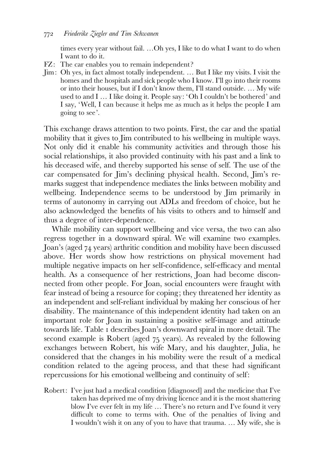times every year without fail. …Oh yes, I like to do what I want to do when I want to do it.

- FZ: The car enables you to remain independent?
- Jim: Oh yes, in fact almost totally independent. … But I like my visits. I visit the homes and the hospitals and sick people who I know. I'll go into their rooms or into their houses, but if I don't know them, I'll stand outside. … My wife used to and I … I like doing it. People say: 'Oh I couldn't be bothered' and I say, 'Well, I can because it helps me as much as it helps the people I am going to see'.

This exchange draws attention to two points. First, the car and the spatial mobility that it gives to Jim contributed to his wellbeing in multiple ways. Not only did it enable his community activities and through those his social relationships, it also provided continuity with his past and a link to his deceased wife, and thereby supported his sense of self. The use of the car compensated for Jim's declining physical health. Second, Jim's remarks suggest that independence mediates the links between mobility and wellbeing. Independence seems to be understood by Jim primarily in terms of autonomy in carrying out ADLs and freedom of choice, but he also acknowledged the benefits of his visits to others and to himself and thus a degree of inter-dependence.

While mobility can support wellbeing and vice versa, the two can also regress together in a downward spiral. We will examine two examples. Joan's (aged 74 years) arthritic condition and mobility have been discussed above. Her words show how restrictions on physical movement had multiple negative impacts on her self-confidence, self-efficacy and mental health. As a consequence of her restrictions, Joan had become disconnected from other people. For Joan, social encounters were fraught with fear instead of being a resource for coping; they threatened her identity as an independent and self-reliant individual by making her conscious of her disability. The maintenance of this independent identity had taken on an important role for Joan in sustaining a positive self-image and attitude towards life. Table 1 describes Joan's downward spiral in more detail. The second example is Robert (aged 75 years). As revealed by the following exchanges between Robert, his wife Mary, and his daughter, Julia, he considered that the changes in his mobility were the result of a medical condition related to the ageing process, and that these had significant repercussions for his emotional wellbeing and continuity of self:

Robert: I've just had a medical condition [diagnosed] and the medicine that I've taken has deprived me of my driving licence and it is the most shattering blow I've ever felt in my life … There's no return and I've found it very difficult to come to terms with. One of the penalties of living and I wouldn't wish it on any of you to have that trauma. … My wife, she is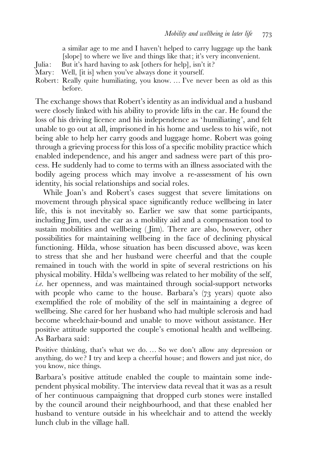a similar age to me and I haven't helped to carry luggage up the bank [slope] to where we live and things like that; it's very inconvenient.

- Julia: But it's hard having to ask [others for help], isn't it ?
- Mary: Well, [it is] when you've always done it yourself.
- Robert: Really quite humiliating, you know. … I've never been as old as this before.

The exchange shows that Robert's identity as an individual and a husband were closely linked with his ability to provide lifts in the car. He found the loss of his driving licence and his independence as 'humiliating', and felt unable to go out at all, imprisoned in his home and useless to his wife, not being able to help her carry goods and luggage home. Robert was going through a grieving process for this loss of a specific mobility practice which enabled independence, and his anger and sadness were part of this process. He suddenly had to come to terms with an illness associated with the bodily ageing process which may involve a re-assessment of his own identity, his social relationships and social roles.

While Joan's and Robert's cases suggest that severe limitations on movement through physical space significantly reduce wellbeing in later life, this is not inevitably so. Earlier we saw that some participants, including Jim, used the car as a mobility aid and a compensation tool to sustain mobilities and wellbeing ( Jim). There are also, however, other possibilities for maintaining wellbeing in the face of declining physical functioning. Hilda, whose situation has been discussed above, was keen to stress that she and her husband were cheerful and that the couple remained in touch with the world in spite of several restrictions on his physical mobility. Hilda's wellbeing was related to her mobility of the self, i.e. her openness, and was maintained through social-support networks with people who came to the house. Barbara's (73 years) quote also exemplified the role of mobility of the self in maintaining a degree of wellbeing. She cared for her husband who had multiple sclerosis and had become wheelchair-bound and unable to move without assistance. Her positive attitude supported the couple's emotional health and wellbeing. As Barbara said:

Positive thinking, that's what we do. … So we don't allow any depression or anything, do we ? I try and keep a cheerful house; and flowers and just nice, do you know, nice things.

Barbara's positive attitude enabled the couple to maintain some independent physical mobility. The interview data reveal that it was as a result of her continuous campaigning that dropped curb stones were installed by the council around their neighbourhood, and that these enabled her husband to venture outside in his wheelchair and to attend the weekly lunch club in the village hall.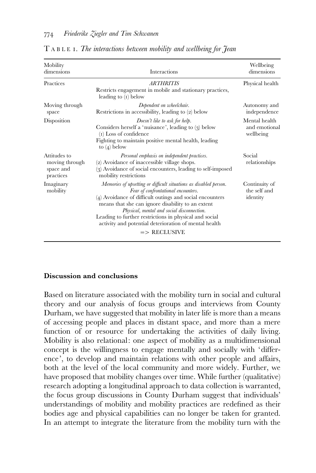| Interactions                                                                                                                                                                                                                                                                                                                                                                               | Wellbeing<br>dimensions                     |
|--------------------------------------------------------------------------------------------------------------------------------------------------------------------------------------------------------------------------------------------------------------------------------------------------------------------------------------------------------------------------------------------|---------------------------------------------|
| <b>ARTHRITIS</b><br>Restricts engagement in mobile and stationary practices,<br>leading to $(i)$ below                                                                                                                                                                                                                                                                                     | Physical health                             |
| Dependent on wheelchair.<br>Restrictions in accessibility, leading to (2) below                                                                                                                                                                                                                                                                                                            | Autonomy and<br>independence                |
| Doesn't like to ask for help.<br>Considers herself a 'nuisance', leading to $(3)$ below<br>$(i)$ Loss of confidence<br>Fighting to maintain positive mental health, leading<br>to $(4)$ below                                                                                                                                                                                              | Mental health<br>and emotional<br>wellbeing |
| Personal emphasis on independent practices.<br>(2) Avoidance of inaccessible village shops.<br>(3) Avoidance of social encounters, leading to self-imposed<br>mobility restrictions                                                                                                                                                                                                        | Social<br>relationships                     |
| Memories of upsetting or difficult situations as disabled person.<br>Fear of confrontational encounters.<br>(4) Avoidance of difficult outings and social encounters<br>means that she can ignore disability to an extent<br>Physical, mental and social disconnection.<br>Leading to further restrictions in physical and social<br>activity and potential deterioration of mental health | Continuity of<br>the self and<br>identity   |
|                                                                                                                                                                                                                                                                                                                                                                                            | $\Rightarrow$ RECLUSIVE                     |

T ABLE 1. The interactions between mobility and wellbeing for Jean

# Discussion and conclusions

Based on literature associated with the mobility turn in social and cultural theory and our analysis of focus groups and interviews from County Durham, we have suggested that mobility in later life is more than a means of accessing people and places in distant space, and more than a mere function of or resource for undertaking the activities of daily living. Mobility is also relational: one aspect of mobility as a multidimensional concept is the willingness to engage mentally and socially with 'difference', to develop and maintain relations with other people and affairs, both at the level of the local community and more widely. Further, we have proposed that mobility changes over time. While further (qualitative) research adopting a longitudinal approach to data collection is warranted, the focus group discussions in County Durham suggest that individuals' understandings of mobility and mobility practices are redefined as their bodies age and physical capabilities can no longer be taken for granted. In an attempt to integrate the literature from the mobility turn with the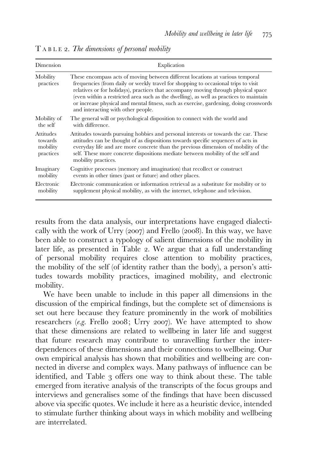| Dimension                                     | Explication                                                                                                                                                                                                                                                                                                                                                                                                                                                                          |
|-----------------------------------------------|--------------------------------------------------------------------------------------------------------------------------------------------------------------------------------------------------------------------------------------------------------------------------------------------------------------------------------------------------------------------------------------------------------------------------------------------------------------------------------------|
| Mobility<br>practices                         | These encompass acts of moving between different locations at various temporal<br>frequencies (from daily or weekly travel for shopping to occasional trips to visit<br>relatives or for holidays), practices that accompany moving through physical space<br>(even within a restricted area such as the dwelling), as well as practices to maintain<br>or increase physical and mental fitness, such as exercise, gardening, doing crosswords<br>and interacting with other people. |
| Mobility of                                   | The general will or psychological disposition to connect with the world and                                                                                                                                                                                                                                                                                                                                                                                                          |
| the self                                      | with difference.                                                                                                                                                                                                                                                                                                                                                                                                                                                                     |
| Attitudes<br>towards<br>mobility<br>practices | Attitudes towards pursuing hobbies and personal interests or towards the car. These<br>attitudes can be thought of as dispositions towards specific sequences of acts in<br>everyday life and are more concrete than the previous dimension of mobility of the<br>self. These more concrete dispositions mediate between mobility of the self and<br>mobility practices.                                                                                                             |
| Imaginary                                     | Cognitive processes (memory and imagination) that recollect or construct                                                                                                                                                                                                                                                                                                                                                                                                             |
| mobility                                      | events in other times (past or future) and other places.                                                                                                                                                                                                                                                                                                                                                                                                                             |
| Electronic                                    | Electronic communication or information retrieval as a substitute for mobility or to                                                                                                                                                                                                                                                                                                                                                                                                 |
| mobility                                      | supplement physical mobility, as with the internet, telephone and television.                                                                                                                                                                                                                                                                                                                                                                                                        |

T ABLE 2. The dimensions of personal mobility

results from the data analysis, our interpretations have engaged dialectically with the work of Urry (2007) and Frello (2008). In this way, we have been able to construct a typology of salient dimensions of the mobility in later life, as presented in Table 2. We argue that a full understanding of personal mobility requires close attention to mobility practices, the mobility of the self (of identity rather than the body), a person's attitudes towards mobility practices, imagined mobility, and electronic mobility.

We have been unable to include in this paper all dimensions in the discussion of the empirical findings, but the complete set of dimensions is set out here because they feature prominently in the work of mobilities researchers (e.g. Frello 2008; Urry 2007). We have attempted to show that these dimensions are related to wellbeing in later life and suggest that future research may contribute to unravelling further the interdependences of these dimensions and their connections to wellbeing. Our own empirical analysis has shown that mobilities and wellbeing are connected in diverse and complex ways. Many pathways of influence can be identified, and Table 3 offers one way to think about these. The table emerged from iterative analysis of the transcripts of the focus groups and interviews and generalises some of the findings that have been discussed above via specific quotes. We include it here as a heuristic device, intended to stimulate further thinking about ways in which mobility and wellbeing are interrelated.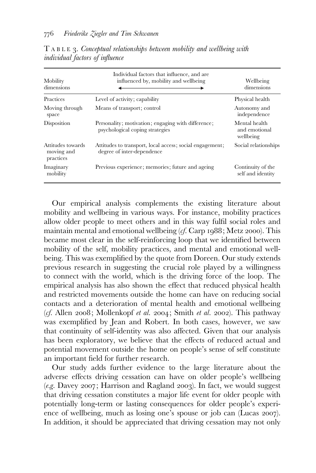| Mobility<br>dimensions                       | Individual factors that influence, and are<br>influenced by, mobility and wellbeing    | Wellbeing<br>dimensions                     |
|----------------------------------------------|----------------------------------------------------------------------------------------|---------------------------------------------|
| Practices                                    | Level of activity; capability                                                          | Physical health                             |
| Moving through<br>space                      | Means of transport; control                                                            | Autonomy and<br>independence                |
| Disposition                                  | Personality; motivation; engaging with difference;<br>psychological coping strategies  | Mental health<br>and emotional<br>wellbeing |
| Attitudes towards<br>moving and<br>practices | Attitudes to transport, local access; social engagement;<br>degree of inter-dependence | Social relationships                        |
| Imaginary<br>mobility                        | Previous experience; memories; future and ageing                                       | Continuity of the<br>self and identity      |

T ABLE 3. Conceptual relationships between mobility and wellbeing with individual factors of influence

Our empirical analysis complements the existing literature about mobility and wellbeing in various ways. For instance, mobility practices allow older people to meet others and in this way fulfil social roles and maintain mental and emotional wellbeing (cf. Carp 1988; Metz 2000). This became most clear in the self-reinforcing loop that we identified between mobility of the self, mobility practices, and mental and emotional wellbeing. This was exemplified by the quote from Doreen. Our study extends previous research in suggesting the crucial role played by a willingness to connect with the world, which is the driving force of the loop. The empirical analysis has also shown the effect that reduced physical health and restricted movements outside the home can have on reducing social contacts and a deterioration of mental health and emotional wellbeing (cf. Allen 2008; Mollenkopf et al. 2004; Smith et al. 2002). This pathway was exemplified by Jean and Robert. In both cases, however, we saw that continuity of self-identity was also affected. Given that our analysis has been exploratory, we believe that the effects of reduced actual and potential movement outside the home on people's sense of self constitute an important field for further research.

Our study adds further evidence to the large literature about the adverse effects driving cessation can have on older people's wellbeing (e.g. Davey 2007; Harrison and Ragland 2003). In fact, we would suggest that driving cessation constitutes a major life event for older people with potentially long-term or lasting consequences for older people's experience of wellbeing, much as losing one's spouse or job can (Lucas 2007). In addition, it should be appreciated that driving cessation may not only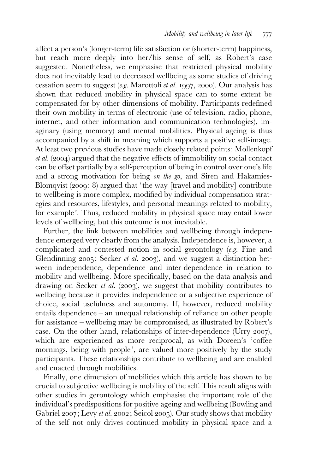affect a person's (longer-term) life satisfaction or (shorter-term) happiness, but reach more deeply into her/his sense of self, as Robert's case suggested. Nonetheless, we emphasise that restricted physical mobility does not inevitably lead to decreased wellbeing as some studies of driving cessation seem to suggest (e.g. Marottoli et al. 1997, 2000). Our analysis has shown that reduced mobility in physical space can to some extent be compensated for by other dimensions of mobility. Participants redefined their own mobility in terms of electronic (use of television, radio, phone, internet, and other information and communication technologies), imaginary (using memory) and mental mobilities. Physical ageing is thus accompanied by a shift in meaning which supports a positive self-image. At least two previous studies have made closely related points: Mollenkopf et al. (2004) argued that the negative effects of immobility on social contact can be offset partially by a self-perception of being in control over one's life and a strong motivation for being on the go, and Siren and Hakamies-Blomqvist (2009: 8) argued that 'the way [travel and mobility] contribute to wellbeing is more complex, modified by individual compensation strategies and resources, lifestyles, and personal meanings related to mobility, for example'. Thus, reduced mobility in physical space may entail lower levels of wellbeing, but this outcome is not inevitable.

Further, the link between mobilities and wellbeing through independence emerged very clearly from the analysis. Independence is, however, a complicated and contested notion in social gerontology (e.g. Fine and Glendinning 2005; Secker *et al.* 2003), and we suggest a distinction between independence, dependence and inter-dependence in relation to mobility and wellbeing. More specifically, based on the data analysis and drawing on Secker et al. (2003), we suggest that mobility contributes to wellbeing because it provides independence or a subjective experience of choice, social usefulness and autonomy. If, however, reduced mobility entails dependence – an unequal relationship of reliance on other people for assistance – wellbeing may be compromised, as illustrated by Robert's case. On the other hand, relationships of inter-dependence (Urry 2007), which are experienced as more reciprocal, as with Doreen's 'coffee mornings, being with people', are valued more positively by the study participants. These relationships contribute to wellbeing and are enabled and enacted through mobilities.

Finally, one dimension of mobilities which this article has shown to be crucial to subjective wellbeing is mobility of the self. This result aligns with other studies in gerontology which emphasise the important role of the individual's predispositions for positive ageing and wellbeing (Bowling and Gabriel 2007; Levy et al. 2002; Seicol 2005). Our study shows that mobility of the self not only drives continued mobility in physical space and a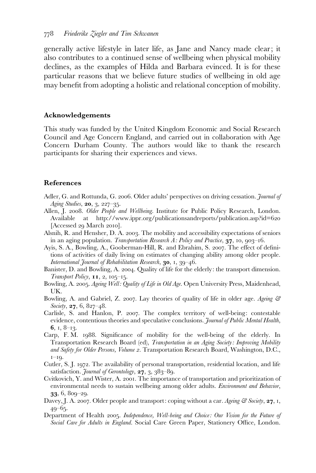generally active lifestyle in later life, as Jane and Nancy made clear; it also contributes to a continued sense of wellbeing when physical mobility declines, as the examples of Hilda and Barbara evinced. It is for these particular reasons that we believe future studies of wellbeing in old age may benefit from adopting a holistic and relational conception of mobility.

#### Acknowledgements

This study was funded by the United Kingdom Economic and Social Research Council and Age Concern England, and carried out in collaboration with Age Concern Durham County. The authors would like to thank the research participants for sharing their experiences and views.

## References

- Adler, G. and Rottunda, G. 2006. Older adults' perspectives on driving cessation. *Journal of* Aging Studies, 20, 3, 227–35.
- Allen, J. 2008. Older People and Wellbeing. Institute for Public Policy Research, London. Available at http://www.ippr.org/publicationsandreports/publication.asp?id=620 [Accessed 29 March 2010].
- Alsnih, R. and Hensher, D. A. 2003. The mobility and accessibility expectations of seniors in an aging population. Transportation Research  $A$ : Policy and Practice, 37, 10, 903–16.
- Ayis, S. A., Bowling, A., Gooberman-Hill, R. and Ebrahim, S. 2007. The effect of definitions of activities of daily living on estimates of changing ability among older people. International Journal of Rehabilitation Research,  $30, 1, 39 - 46$ .
- Banister, D. and Bowling, A. 2004. Quality of life for the elderly: the transport dimension. Transport Policy,  $\mathbf{I}_1$ , 2,  $105 - 15$ .
- Bowling, A. 2005. Ageing Well: Quality of Life in Old Age. Open University Press, Maidenhead, UK.
- Bowling, A. and Gabriel, Z. 2007. Lay theories of quality of life in older age. Ageing & Society,  $27, 6, 827 - 48$ .
- Carlisle, S. and Hanlon, P. 2007. The complex territory of well-being: contestable evidence, contentious theories and speculative conclusions. Journal of Public Mental Health, 6, 1, 8–13.
- Carp, F. M. 1988. Significance of mobility for the well-being of the elderly. In Transportation Research Board (ed), Transportation in an Aging Society: Improving Mobility and Safety for Older Persons, Volume 2. Transportation Research Board, Washington, D.C., 1–19.
- Cutler, S. J. 1972. The availability of personal transportation, residential location, and life satisfaction. Journal of Gerontology, 27, 3, 383–89.
- Cvitkovich, Y. and Wister, A. 2001. The importance of transportation and prioritization of environmental needs to sustain wellbeing among older adults. *Environment and Behavior*, 33, 6, 809–29.
- Davey, J. A. 2007. Older people and transport: coping without a car. Ageing  $\mathcal{C}$  Society, 27, 1,  $49 - 65$ .
- Department of Health 2005. Independence, Well-being and Choice: Our Vision for the Future of Social Care for Adults in England. Social Care Green Paper, Stationery Office, London.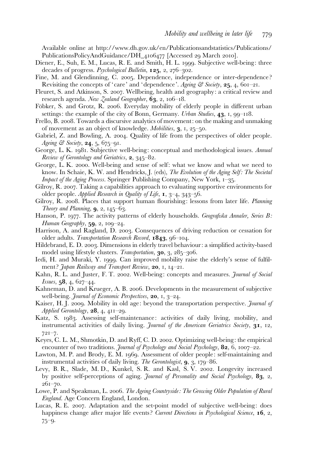Available online at http://www.dh.gov.uk/en/Publicationsandstatistics/Publications/ PublicationsPolicyAndGuidance/DH\_4106477 [Accessed 29 March 2010].

- Diener, E., Suh, E. M., Lucas, R. E. and Smith, H. L. 1999. Subjective well-being: three decades of progress. Psychological Bulletin, 125, 2, 276–302.
- Fine, M. and Glendinning, C. 2005. Dependence, independence or inter-dependence? Revisiting the concepts of 'care' and 'dependence'. Ageing  $\mathcal{C}$  Society, 25, 4, 601–21.
- Fleuret, S. and Atkinson, S. 2007. Wellbeing, health and geography: a critical review and research agenda. New Zealand Geographer,  $63$ , 2, 106–18.
- Föbker, S. and Grotz, R. 2006. Everyday mobility of elderly people in different urban settings: the example of the city of Bonn, Germany. Urban Studies,  $43$ , 1, 99–118.
- Frello, B. 2008. Towards a discursive analytics of movement: on the making and unmaking of movement as an object of knowledge. Mobilities, 3, 1, 25–50.
- Gabriel, Z. and Bowling, A. 2004. Quality of life from the perspectives of older people. Ageing  $\mathcal{C}$  Society, **24**, 5, 675–91.
- George, L. K. 1981. Subjective well-being: conceptual and methodological issues. Annual Review of Gerontology and Geriatrics, 2, 345–82.
- George, L. K. 2000. Well-being and sense of self: what we know and what we need to know. In Schaie, K. W. and Hendricks, J. (eds), The Evolution of the Aging Self: The Societal Impact of the Aging Process. Springer Publishing Company, New York, 1–35.
- Gilroy, R. 2007. Taking a capabilities approach to evaluating supportive environments for older people. Applied Research in Quality of Life,  $\mathbf{r}$ ,  $3-4$ ,  $343-56$ .
- Gilroy, R. 2008. Places that support human flourishing: lessons from later life. Planning Theory and Planning,  $9, 2, 145-63$ .
- Hanson, P. 1977. The activity patterns of elderly households. Geografiska Annaler, Series B: Human Geography,  $59, 2, 100 - 24$ .
- Harrison, A. and Ragland, D. 2003. Consequences of driving reduction or cessation for older adults. Transportation Research Record, 1843, 96-104.
- Hildebrand, E. D. 2003. Dimensions in elderly travel behaviour: a simplified activity-based model using lifestyle clusters. Transportation, 30, 3, 285-306.
- Iedi, H. and Muraki, Y. 1999. Can improved mobility raise the elderly's sense of fulfilment? *Japan Railway and Transport Review*, 20, 1, 14-21.
- Kahn, R. L. and Juster, F. T. 2002. Well-being: concepts and measures. Journal of Social Issues, 58, 4, 627–44.
- Kahneman, D. and Krueger, A. B. 2006. Developments in the measurement of subjective well-being. Journal of Economic Perspectives, 20, 1, 3-24.
- Kaiser, H. J. 2009. Mobility in old age: beyond the transportation perspective. *Journal of* Applied Gerontology,  $28, 4, 411-29$ .
- Katz, S. 1983. Assessing self-maintenance: activities of daily living, mobility, and instrumental activities of daily living. Journal of the American Geriatrics Society, 31, 12, 721–7.
- Keyes, C. L. M., Shmotkin, D. and Ryff, C. D. 2002. Optimizing well-being: the empirical encounter of two traditions. Journal of Psychology and Social Psychology,  $\mathbf{82}$ , 6, 1007–22.
- Lawton, M. P. and Brody, E. M. 1969. Assessment of older people: self-maintaining and instrumental activities of daily living. The Gerontologist, 9, 3, 179–86.
- Levy, B. R., Slade, M. D., Kunkel, S. R. and Kasl, S. V. 2002. Longevity increased by positive self-perceptions of aging. Journal of Personality and Social Psychology, 83, 2, 261–70.
- Lowe, P. and Speakman, L. 2006. The Ageing Countryside: The Growing Older Population of Rural England. Age Concern England, London.
- Lucas, R. E. 2007. Adaptation and the set-point model of subjective well-being: does happiness change after major life events? Current Directions in Psychological Science, 16, 2, 75–9.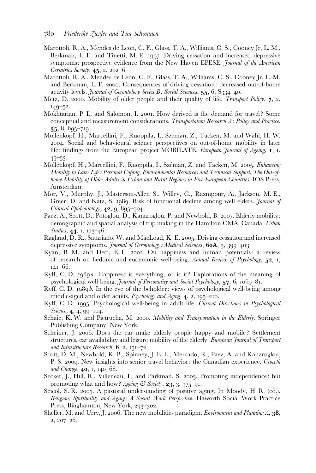- Marottoli, R. A., Mendes de Leon, C. F., Glass, T. A., Williams, C. S., Cooney Jr, L. M., Berkman, L. F. and Tinetti, M. E. 1997. Driving cessation and increased depressive symptoms: prospective evidence from the New Haven EPESE. *Journal of the American* Geriatrics Society, 45, 2, 202–6.
- Marottoli, R. A., Mendes de Leon, C. F., Glass, T. A., Williams, C. S., Cooney Jr, L. M. and Berkman, L. F. 2000. Consequences of driving cessation: decreased out-of-home activity levels. *Journal of Gerontology Series B: Social Sciences*,  $55, 6, S334-40$ .
- Metz, D. 2000. Mobility of older people and their quality of life. Transport Policy, 7, 2, 149–52.
- Mokhtarian, P. L. and Salomon, I. 2001. How derived is the demand for travel? Some conceptual and measurement considerations. Transportation Research A: Policy and Practice, 35, 8, 695–719.
- Mollenkopf, H., Marcellini, F., Ruoppila, I., Széman, Z., Tacken, M. and Wahl, H.-W. 2004. Social and behavioural science perspectives on out-of-home mobility in later life: findings from the European project MOBILATE. *European Journal of Ageing*, **1**, 1, 45–53.
- Mollenkopf, H., Marcellini, F., Ruoppila, I., Széman, Z. and Tacken, M. 2005. *Enhancing* Mobility in Later Life: Personal Coping, Environmental Resources and Technical Support. The Out-ofhome Mobility of Older Adults in Urban and Rural Regions in Five European Countries. IOS Press, Amsterdam.
- Mor, V., Murphy, J., Masterson-Allen S., Willey, C., Razmpour, A., Jackson, M. E., Greer, D. and Katz, S. 1989. Risk of functional decline among well elders. *Journal of* Clinical Epidemiology, 42, 9, 895–904.
- Paez, A., Scott, D., Potoglou, D., Kanaroglou, P. and Newbold, B. 2007. Elderly mobility: demographic and spatial analysis of trip making in the Hamilton CMA, Canada. Urban Studies, 44, 1, 123-46.
- Ragland, D. R., Satariano, W. and MacLoad, K. E. 2005. Driving cessation and increased depressive symptoms. *Journal of Gerontology: Medical Sciences*, **60A**, 3, 399–403.
- Ryan, R. M. and Deci, E. L. 2001. On happiness and human potentials: a review of research on hedonic and eudemonic well-being. Annual Review of Psychology, 52, 1, 141–66.
- Ryff, C. D. 1989*a*. Happiness is everything, or is it? Explorations of the meaning of psychological well-being. Journal of Personality and Social Psychology, 57, 6, 1069-81.
- Ryff, C. D. 1989 $b$ . In the eye of the beholder: views of psychological well-being among middle-aged and older adults. Psychology and Aging, 4, 2, 195-210.
- Ryff, C. D. 1995. Psychological well-being in adult life. Current Directions in Psychological Science, **4**, 4, 99–104.
- Schaie, K. W. and Pietrucha, M. 2000. Mobility and Transportation in the Elderly. Springer Publishing Company, New York.
- Scheiner, J. 2006. Does the car make elderly people happy and mobile ? Settlement structures, car availability and leisure mobility of the elderly. European Journal of Transport and Infrastructure Research,  $6, 2, 151-72$ .
- Scott, D. M., Newbold, K. B., Spinney, J. E. L., Mercado, R., Paez, A. and Kanaroglou, P. S. 2009. New insights into senior travel behavior: the Canadian experience. Growth and Change, 40, 1, 140-68.
- Secker, J., Hill, R., Villeneau, L. and Parkman, S. 2003. Promoting independence: but promoting what and how? Ageing  $\mathcal{C}$  Society, 23, 3, 375–91.
- Seicol, S. R. 2005. A pastoral understanding of positive aging. In Moody, H. R. (ed.), Religion, Spirituality and Aging: A Social Work Perspective. Haworth Social Work Practice Press, Binghamton, New York, 293–302.
- Sheller, M. and Urry, J. 2006. The new mobilities paradigm. *Environment and Planning A*, **38**, 2, 207–26.